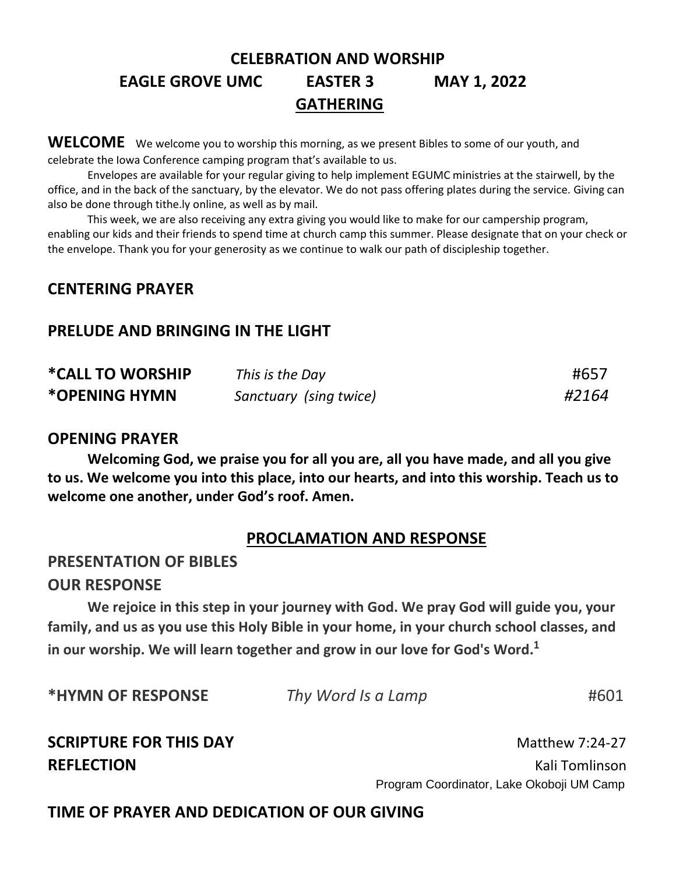# **CELEBRATION AND WORSHIP EAGLE GROVE UMC EASTER 3 MAY 1, 2022 GATHERING**

WELCOME We welcome you to worship this morning, as we present Bibles to some of our youth, and celebrate the Iowa Conference camping program that's available to us.

Envelopes are available for your regular giving to help implement EGUMC ministries at the stairwell, by the office, and in the back of the sanctuary, by the elevator. We do not pass offering plates during the service. Giving can also be done through tithe.ly online, as well as by mail.

This week, we are also receiving any extra giving you would like to make for our campership program, enabling our kids and their friends to spend time at church camp this summer. Please designate that on your check or the envelope. Thank you for your generosity as we continue to walk our path of discipleship together.

### **CENTERING PRAYER**

### **PRELUDE AND BRINGING IN THE LIGHT**

| *CALL TO WORSHIP | This is the Day        | #657  |
|------------------|------------------------|-------|
| *OPENING HYMN    | Sanctuary (sing twice) | #2164 |

### **OPENING PRAYER**

**Welcoming God, we praise you for all you are, all you have made, and all you give to us. We welcome you into this place, into our hearts, and into this worship. Teach us to welcome one another, under God's roof. Amen.** 

### **PROCLAMATION AND RESPONSE**

### **PRESENTATION OF BIBLES**

### **OUR RESPONSE**

**We rejoice in this step in your journey with God. We pray God will guide you, your family, and us as you use this Holy Bible in your home, in your church school classes, and in our worship. We will learn together and grow in our love for God's Word.<sup>1</sup>**

| <b>*HYMN OF RESPONSE</b> | Thy Word Is a Lamp | #601 |
|--------------------------|--------------------|------|
|                          |                    |      |

# **SCRIPTURE FOR THIS DAY Matthew 7:24-27**

**REFLECTION REFLECTION** Program Coordinator, Lake Okoboji UM Camp

## **TIME OF PRAYER AND DEDICATION OF OUR GIVING**